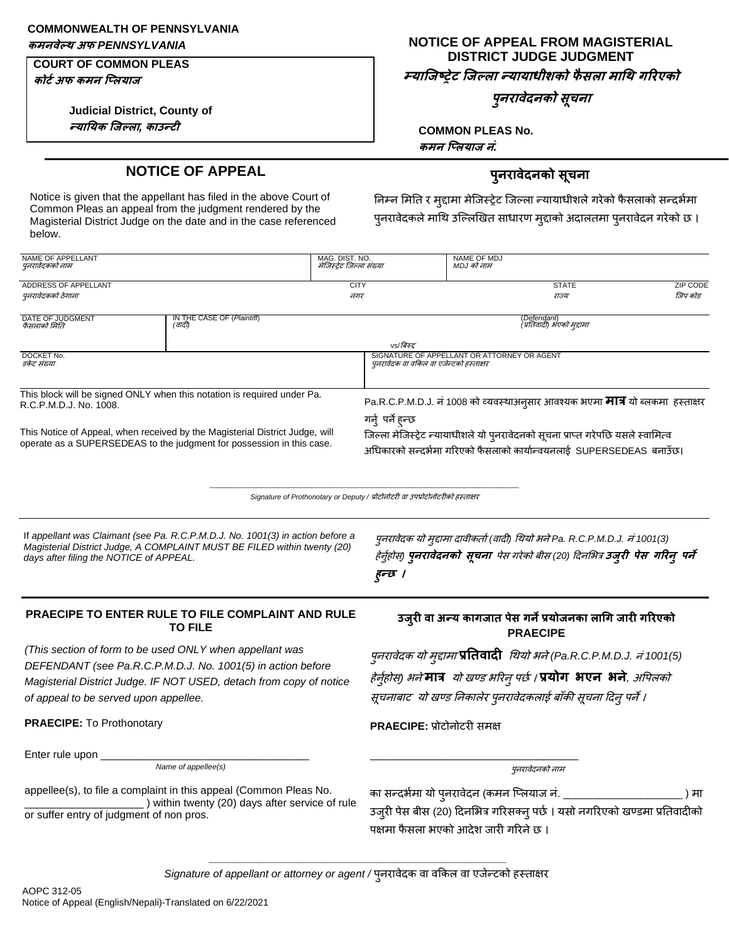## **COMMONWEALTH OF PENNSYLVANIA**

### **COURT OF COMMON PLEAS**

**कोटटअफ कमन जललयाि**

**Judicial District, County of न्याययक जिल्ला***,* **काउन्टी**

# **कमनवेल्थ अफ** *PENNSYLVANIA* **NOTICE OF APPEAL FROM MAGISTERIAL DISTRICT JUDGE JUDGMENT**

**म्याजिष्ट्रेट जिल्ला न्यायाधीशको फै सला माथथ गरिएको**

**पुनिावेदनको सूचना**

**COMMON PLEAS No. कमन जललयाि नं***.*

# **NOTICE OF APPEAL पुनिावेदनको सचू ना**

Notice is given that the appellant has filed in the above Court of Common Pleas an appeal from the judgment rendered by the Magisterial District Judge on the date and in the case referenced below.

निम्न मिति र मुद्दामा मेजिस्ट्रेट जिल्ला न्यायाधीशले गरेको फैसलाको सन्दर्भमा पुनरावेदकले माथि उल्लिखित साधारण मुद्दाको अदालतमा पुनरावेदन गरेको छ ।

| NAME OF APPELLANT<br>पुनरावेदकको नाम                                                                                                                                                                  | MAG. DIST. NO.<br>मेजिस्टेट जिल्ला संख्या                                                                                                                   |                                                                                | NAME OF MDJ<br>MDJ को नाम                                                                                                                                                            |                             |
|-------------------------------------------------------------------------------------------------------------------------------------------------------------------------------------------------------|-------------------------------------------------------------------------------------------------------------------------------------------------------------|--------------------------------------------------------------------------------|--------------------------------------------------------------------------------------------------------------------------------------------------------------------------------------|-----------------------------|
| ADDRESS OF APPELLANT<br>पुनरावेदकको ठेगाना                                                                                                                                                            |                                                                                                                                                             | <b>CITY</b><br>नगर                                                             | <b>STATE</b><br>राज्य                                                                                                                                                                | <b>ZIP CODE</b><br>जिप कोड़ |
| IN THE CASE OF (Plaintiff)<br>DATE OF JUDGMENT<br>(वादी)<br>फैसलाको मिति                                                                                                                              |                                                                                                                                                             | (Defendant)<br>(प्रतिवादी) भएको मद्दामा                                        |                                                                                                                                                                                      |                             |
| DOCKET No.<br>ड़केट संख्या                                                                                                                                                                            | vs/बिरुद्द<br>पुनरावेदक वा वकिल वा एजेन्टको हस्ताक्षर                                                                                                       | SIGNATURE OF APPELLANT OR ATTORNEY OR AGENT                                    |                                                                                                                                                                                      |                             |
| This block will be signed ONLY when this notation is required under Pa.<br>R.C.P.M.D.J. No. 1008.                                                                                                     | Pa.R.C.P.M.D.J. नं 1008 को व्यवस्थाअन् <b>सार आवश्यक भएमा मात्र</b> यो ब्लकमा हस्ताक्षर<br>गर्न् पर्ने हन्छ                                                 |                                                                                |                                                                                                                                                                                      |                             |
| This Notice of Appeal, when received by the Magisterial District Judge, will<br>operate as a SUPERSEDEAS to the judgment for possession in this case.                                                 | जिल्ला मेजिस्ट्रेट न्यायाधीशले यो पुनरावेदनको सूचना प्राप्त गरेपछि यसले स्वामित्व<br>अधिकारको सन्दर्भमा गरिएको फैसलाको कार्यान्वयनलाई  SUPERSEDEAS  बनाउँछ। |                                                                                |                                                                                                                                                                                      |                             |
|                                                                                                                                                                                                       |                                                                                                                                                             | Signature of Prothonotary or Deputy / प्रोटोनोटरी वा उपप्रोटोनोटरीको हस्ताक्षर |                                                                                                                                                                                      |                             |
| If appellant was Claimant (see Pa. R.C.P.M.D.J. No. 1001(3) in action before a<br>Magisterial District Judge, A COMPLAINT MUST BE FILED within twenty (20)<br>days after filing the NOTICE of APPEAL. |                                                                                                                                                             | $5 - 1$                                                                        | पुनरावेदक यो मुद्दामा दावीकर्ता (वादी) थियो भने Pa. R.C.P.M.D.J. नं 1001(3)<br>हेर्नुहोस्) <b>प्<i>नरावेदनको सूचना</i></b> पेस गरेको बीस (20) दिनभित्र उजु <b>री पेस गरिनु पर्ने</b> |                             |

### **PRAECIPE TO ENTER RULE TO FILE COMPLAINT AND RULE TO FILE**

*(This section of form to be used ONLY when appellant was DEFENDANT (see Pa.R.C.P.M.D.J. No. 1001(5) in action before Magisterial District Judge. IF NOT USED, detach from copy of notice of appeal to be served upon appellee.*

**PRAECIPE:** To Prothonotary **PRAECIPE:** प्रोटोिोटरी सिक्ष

Enter rule upon

*Name of appellee(s)* पुिरावेदिको िाि

appellee(s), to file a complaint in this appeal (Common Pleas No.  $\_$ ) within twenty (20) days after service of rule or suffer entry of judgment of non pros.

## **उिुिी वा अन्य कागिात पेस गनेप्रयोिनका लाथग िािी गरिएको PRAECIPE**

पुनरावेदक यो मुद्दामा **प्रतिवादी** थियो भने (Pa.R.C.P.M.D.J. नं 1001(5) हेिुहभ ोस*)* ् र्िे**मात्र** यो िण्ड र्ररिुपछभ । **प्रयोग भएन भने***,* अपपलको सूचनाबाट यो खण्ड निकालेर पुनरावेदकलाई बाँकी सूचना दिन् पर्ने ।

का सन्दर्भमा यो पुनरावेदन (कमन प्लियाज नं. \_\_\_\_\_\_\_\_\_\_\_\_\_\_\_\_\_\_\_\_\_\_\_\_\_\_\_\_ ) मा उजुरी पेस बीस (20) दिनभित्र गरिसक्नु पर्छ । यसो नगरिएको खण्डमा प्रतिवादीको पक्षमा फैसला भएको आदेश जारी गरिने छ ।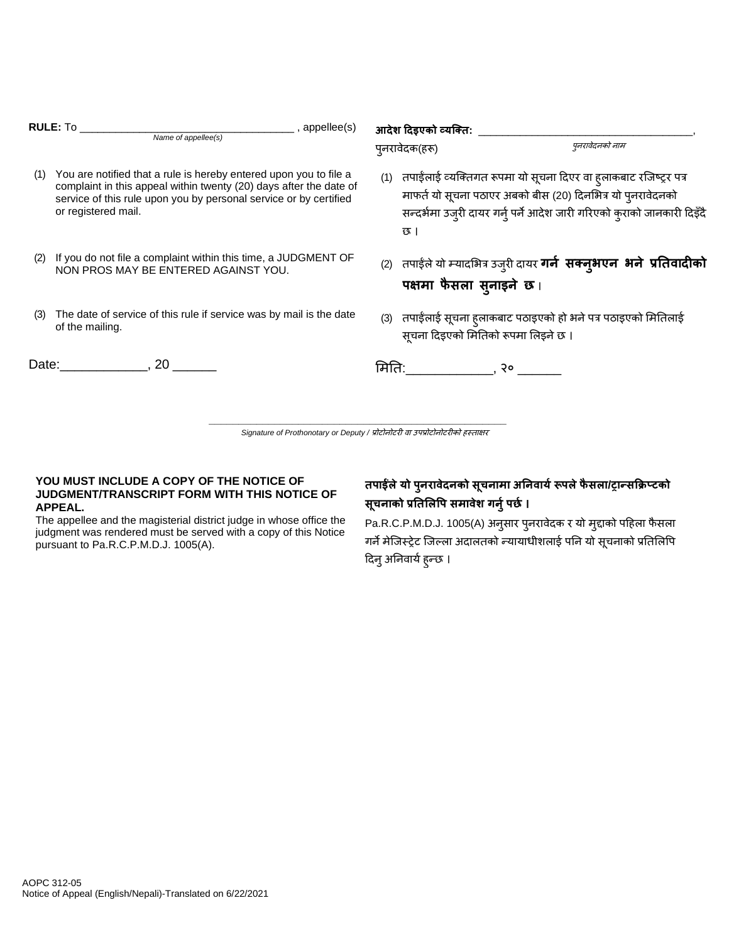|     | RULE: To<br>$_$ , appellee(s)<br>Name of appellee(s)                                                                                                                                                                                | आदेश दिइएको व्यक्ति: _<br>पनरावेदनको नाम<br>प्नरावेदक(हरू)                                                                                                                                                             |  |
|-----|-------------------------------------------------------------------------------------------------------------------------------------------------------------------------------------------------------------------------------------|------------------------------------------------------------------------------------------------------------------------------------------------------------------------------------------------------------------------|--|
| (1) | You are notified that a rule is hereby entered upon you to file a<br>complaint in this appeal within twenty (20) days after the date of<br>service of this rule upon you by personal service or by certified<br>or registered mail. | (1)   तपाईलाई व्यक्तिगत रूपमा यो सूचना दिएर वा ह्लाकबाट रजिष्ट्र पत्र<br>माफर्त यो सूचना पठाएर अबको बीस (20) दिनभित्र यो प्नरावेदनको<br>सन्दर्भमा उजुरी दायर गर्नु पर्ने आदेश जारी गरिएको कुराको जानकारी दिइँदै<br>छ । |  |
| (2) | If you do not file a complaint within this time, a JUDGMENT OF<br>NON PROS MAY BE ENTERED AGAINST YOU.                                                                                                                              | (2) तपाईले यो म्यादभित्र उजुरी दायर <b>गर्न  सक्नुभएन  भने  प्रतिवादीको</b><br>पक्षमा फैसला सुनाइने छ।                                                                                                                 |  |
| (3) | The date of service of this rule if service was by mail is the date<br>of the mailing.                                                                                                                                              | (3) तपाईलाई सूचना हुलाकबाट पठाइएको हो भने पत्र पठाइएको मितिलाई<br>सूचना दिइएको मितिको रूपमा लिइने छ ।                                                                                                                  |  |
|     | Date: 20                                                                                                                                                                                                                            | मितिः , २० उ                                                                                                                                                                                                           |  |

**\_\_\_\_\_\_\_\_\_\_\_\_\_\_\_\_\_\_\_\_\_\_\_\_\_\_\_\_\_\_\_\_\_\_\_\_\_\_\_\_\_\_\_\_\_\_\_\_\_\_** Signature of Prothonotary or Deputy / प्रोटोनोटरी वा उपप्रोटोनोटरीको हस्ताक्षर

### **YOU MUST INCLUDE A COPY OF THE NOTICE OF JUDGMENT/TRANSCRIPT FORM WITH THIS NOTICE OF APPEAL.**

pursuant to Pa.R.C.P.M.D.J. 1005(A).

The appellee and the magisterial district judge in whose office the judgment was rendered must be served with a copy of this Notice

## **तपाईंलेयो पुनिावेदनको सूचनामा अयनवायटरूपलेफै सला/रान्सक्रिलटको सूचनाको प्रयतललपप समावेश गनुटपर्ट ।**

Pa.R.C.P.M.D.J. 1005(A) अन् सार प्*नरावेदक र यो म्*दाको पहिला फैसला गर्ने मेजिस्ट्रेट जिल्ला अदालतको न्यायाधीशलाई पनि यो सूचनाको प्रतिलिपि दिनु अनिवार्य हुन्छ ।

AOPC 312-05 Notice of Appeal (English/Nepali)-Translated on 6/22/2021